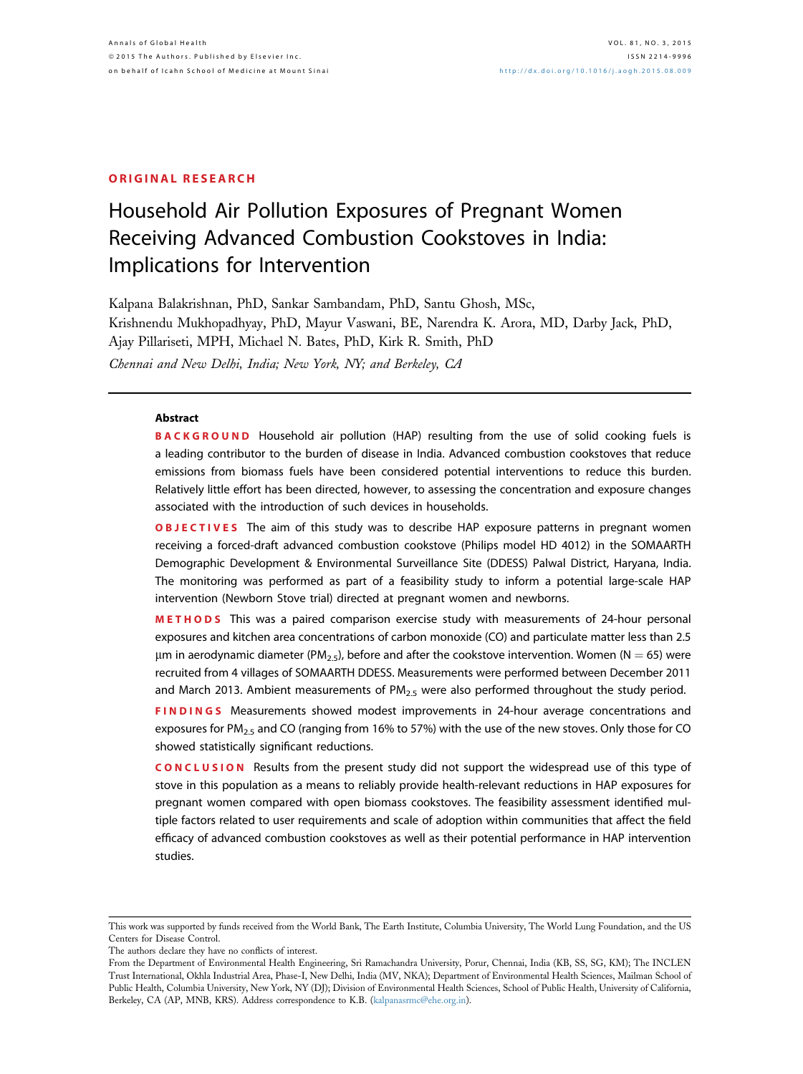#### ORIGINAL RESEARCH

# Household Air Pollution Exposures of Pregnant Women Receiving Advanced Combustion Cookstoves in India: Implications for Intervention

Kalpana Balakrishnan, PhD, Sankar Sambandam, PhD, Santu Ghosh, MSc, Krishnendu Mukhopadhyay, PhD, Mayur Vaswani, BE, Narendra K. Arora, MD, Darby Jack, PhD, Ajay Pillariseti, MPH, Michael N. Bates, PhD, Kirk R. Smith, PhD Chennai and New Delhi, India; New York, NY; and Berkeley, CA

#### Abstract

BACKGROUND Household air pollution (HAP) resulting from the use of solid cooking fuels is a leading contributor to the burden of disease in India. Advanced combustion cookstoves that reduce emissions from biomass fuels have been considered potential interventions to reduce this burden. Relatively little effort has been directed, however, to assessing the concentration and exposure changes associated with the introduction of such devices in households.

**OBJECTIVES** The aim of this study was to describe HAP exposure patterns in pregnant women receiving a forced-draft advanced combustion cookstove (Philips model HD 4012) in the SOMAARTH Demographic Development & Environmental Surveillance Site (DDESS) Palwal District, Haryana, India. The monitoring was performed as part of a feasibility study to inform a potential large-scale HAP intervention (Newborn Stove trial) directed at pregnant women and newborns.

METHODS This was a paired comparison exercise study with measurements of 24-hour personal exposures and kitchen area concentrations of carbon monoxide (CO) and particulate matter less than 2.5  $\mu$ m in aerodynamic diameter (PM<sub>2.5</sub>), before and after the cookstove intervention. Women (N = 65) were recruited from 4 villages of SOMAARTH DDESS. Measurements were performed between December 2011 and March 2013. Ambient measurements of  $PM<sub>2.5</sub>$  were also performed throughout the study period.

**FINDINGS** Measurements showed modest improvements in 24-hour average concentrations and exposures for PM<sub>2.5</sub> and CO (ranging from 16% to 57%) with the use of the new stoves. Only those for CO showed statistically significant reductions.

CONCLUSION Results from the present study did not support the widespread use of this type of stove in this population as a means to reliably provide health-relevant reductions in HAP exposures for pregnant women compared with open biomass cookstoves. The feasibility assessment identified multiple factors related to user requirements and scale of adoption within communities that affect the field efficacy of advanced combustion cookstoves as well as their potential performance in HAP intervention studies.

The authors declare they have no conflicts of interest.

This work was supported by funds received from the World Bank, The Earth Institute, Columbia University, The World Lung Foundation, and the US Centers for Disease Control.

From the Department of Environmental Health Engineering, Sri Ramachandra University, Porur, Chennai, India (KB, SS, SG, KM); The INCLEN Trust International, Okhla Industrial Area, Phase-I, New Delhi, India (MV, NKA); Department of Environmental Health Sciences, Mailman School of Public Health, Columbia University, New York, NY (DJ); Division of Environmental Health Sciences, School of Public Health, University of California, Berkeley, CA (AP, MNB, KRS). Address correspondence to K.B. [\(kalpanasrmc@ehe.org.in\)](mailto:kalpanasrmc@ehe.org.in).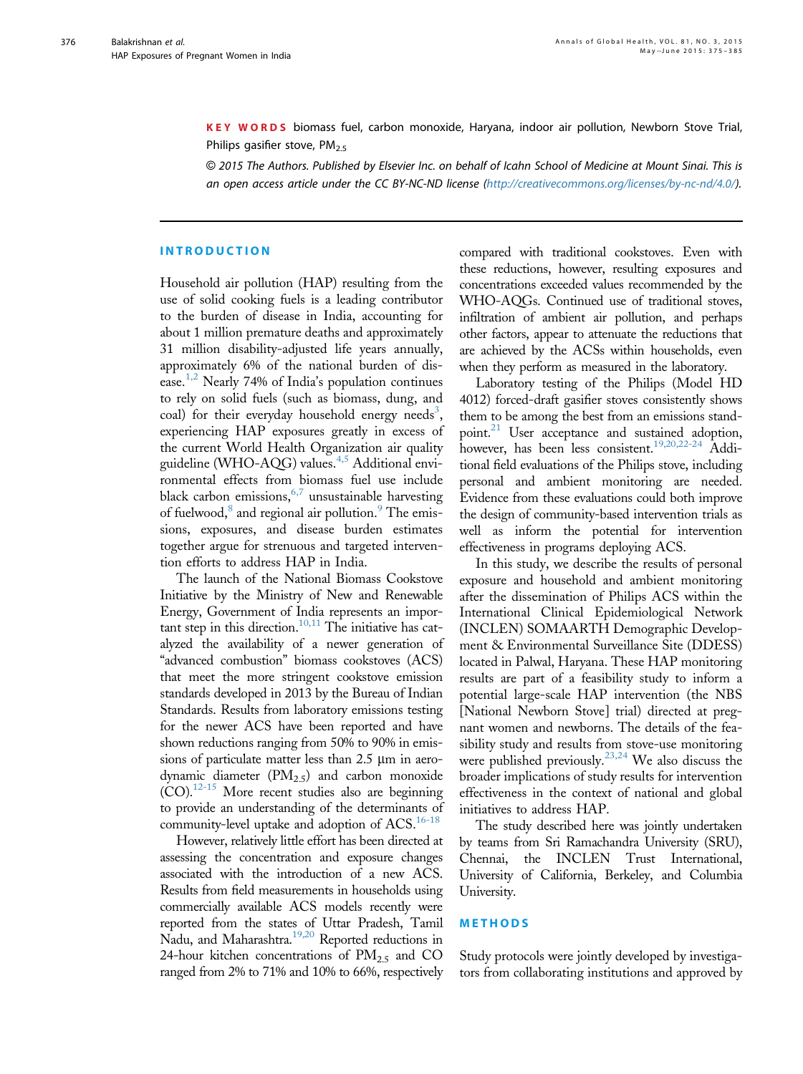KEY WORDS biomass fuel, carbon monoxide, Haryana, indoor air pollution, Newborn Stove Trial, Philips gasifier stove,  $PM<sub>2.5</sub>$ 

© 2015 The Authors. Published by Elsevier Inc. on behalf of Icahn School of Medicine at Mount Sinai. This is an open access article under the CC BY-NC-ND license ([http://creativecommons.org/licenses/by-nc-nd/4.0/](http://creativecommons.org/licenses/by-nc-nd/4.�0/)).

## INTRODUCTION

Household air pollution (HAP) resulting from the use of solid cooking fuels is a leading contributor to the burden of disease in India, accounting for about 1 million premature deaths and approximately 31 million disability-adjusted life years annually, approximately 6% of the national burden of dis-ease.<sup>[1,2](#page-10-0)</sup> Nearly 74% of India's population continues to rely on solid fuels (such as biomass, dung, and coal) for their everyday household energy needs<sup>[3](#page-10-0)</sup>, experiencing HAP exposures greatly in excess of the current World Health Organization air quality guideline (WHO-AQG) values.[4,5](#page-10-0) Additional environmental effects from biomass fuel use include black carbon emissions,  $6,7$  unsustainable harvesting of fuelwood,<sup>[8](#page-10-0)</sup> and regional air pollution.<sup>[9](#page-10-0)</sup> The emissions, exposures, and disease burden estimates together argue for strenuous and targeted intervention efforts to address HAP in India.

The launch of the National Biomass Cookstove Initiative by the Ministry of New and Renewable Energy, Government of India represents an impor-tant step in this direction.<sup>[10,11](#page-10-0)</sup> The initiative has catalyzed the availability of a newer generation of "advanced combustion" biomass cookstoves (ACS) that meet the more stringent cookstove emission standards developed in 2013 by the Bureau of Indian Standards. Results from laboratory emissions testing for the newer ACS have been reported and have shown reductions ranging from 50% to 90% in emissions of particulate matter less than  $2.5 \mu m$  in aerodynamic diameter  $(PM_{2,5})$  and carbon monoxide  $(CO).<sup>12-15</sup>$  More recent studies also are beginning to provide an understanding of the determinants of community-level uptake and adoption of ACS.<sup>16-18</sup>

However, relatively little effort has been directed at assessing the concentration and exposure changes associated with the introduction of a new ACS. Results from field measurements in households using commercially available ACS models recently were reported from the states of Uttar Pradesh, Tamil Nadu, and Maharashtra.<sup>19,20</sup> Reported reductions in 24-hour kitchen concentrations of  $PM<sub>2.5</sub>$  and CO ranged from 2% to 71% and 10% to 66%, respectively compared with traditional cookstoves. Even with these reductions, however, resulting exposures and concentrations exceeded values recommended by the WHO-AQGs. Continued use of traditional stoves, infiltration of ambient air pollution, and perhaps other factors, appear to attenuate the reductions that are achieved by the ACSs within households, even when they perform as measured in the laboratory.

Laboratory testing of the Philips (Model HD 4012) forced-draft gasifier stoves consistently shows them to be among the best from an emissions stand-point.<sup>[21](#page-10-0)</sup> User acceptance and sustained adoption, however, has been less consistent.<sup>19,20,22-24</sup> Additional field evaluations of the Philips stove, including personal and ambient monitoring are needed. Evidence from these evaluations could both improve the design of community-based intervention trials as well as inform the potential for intervention effectiveness in programs deploying ACS.

In this study, we describe the results of personal exposure and household and ambient monitoring after the dissemination of Philips ACS within the International Clinical Epidemiological Network (INCLEN) SOMAARTH Demographic Development & Environmental Surveillance Site (DDESS) located in Palwal, Haryana. These HAP monitoring results are part of a feasibility study to inform a potential large-scale HAP intervention (the NBS [National Newborn Stove] trial) directed at pregnant women and newborns. The details of the feasibility study and results from stove-use monitoring were published previously.[23,24](#page-10-0) We also discuss the broader implications of study results for intervention effectiveness in the context of national and global initiatives to address HAP.

The study described here was jointly undertaken by teams from Sri Ramachandra University (SRU), Chennai, the INCLEN Trust International, University of California, Berkeley, and Columbia University.

## METHODS

Study protocols were jointly developed by investigators from collaborating institutions and approved by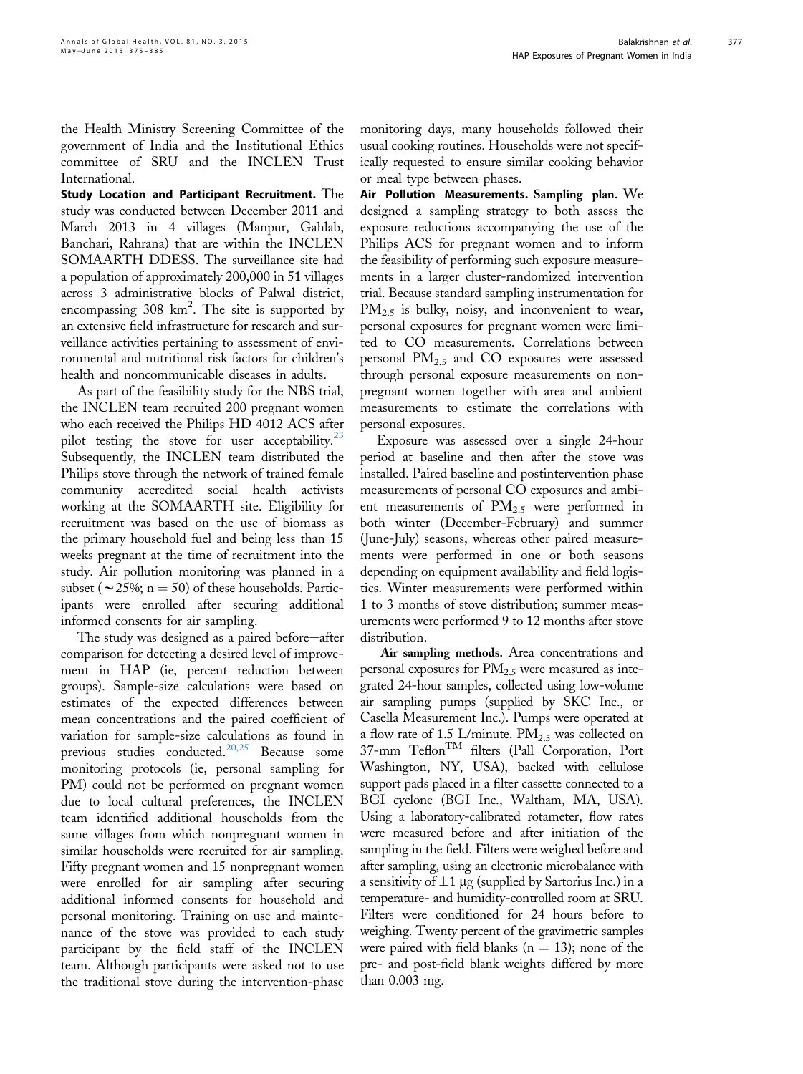the Health Ministry Screening Committee of the government of India and the Institutional Ethics committee of SRU and the INCLEN Trust International.

Study Location and Participant Recruitment. The study was conducted between December 2011 and March 2013 in 4 villages (Manpur, Gahlab, Banchari, Rahrana) that are within the INCLEN SOMAARTH DDESS. The surveillance site had a population of approximately 200,000 in 51 villages across 3 administrative blocks of Palwal district, encompassing 308  $km^2$ . The site is supported by an extensive field infrastructure for research and surveillance activities pertaining to assessment of environmental and nutritional risk factors for children's health and noncommunicable diseases in adults.

As part of the feasibility study for the NBS trial, the INCLEN team recruited 200 pregnant women who each received the Philips HD 4012 ACS after pilot testing the stove for user acceptability. $23$ Subsequently, the INCLEN team distributed the Philips stove through the network of trained female community accredited social health activists working at the SOMAARTH site. Eligibility for recruitment was based on the use of biomass as the primary household fuel and being less than 15 weeks pregnant at the time of recruitment into the study. Air pollution monitoring was planned in a subset ( $\sim$  25%; n = 50) of these households. Participants were enrolled after securing additional informed consents for air sampling.

The study was designed as a paired before-after comparison for detecting a desired level of improvement in HAP (ie, percent reduction between groups). Sample-size calculations were based on estimates of the expected differences between mean concentrations and the paired coefficient of variation for sample-size calculations as found in previous studies conducted.<sup>[20,25](#page-10-0)</sup> Because some monitoring protocols (ie, personal sampling for PM) could not be performed on pregnant women due to local cultural preferences, the INCLEN team identified additional households from the same villages from which nonpregnant women in similar households were recruited for air sampling. Fifty pregnant women and 15 nonpregnant women were enrolled for air sampling after securing additional informed consents for household and personal monitoring. Training on use and maintenance of the stove was provided to each study participant by the field staff of the INCLEN team. Although participants were asked not to use the traditional stove during the intervention-phase monitoring days, many households followed their usual cooking routines. Households were not specifically requested to ensure similar cooking behavior or meal type between phases.

Air Pollution Measurements. Sampling plan. We designed a sampling strategy to both assess the exposure reductions accompanying the use of the Philips ACS for pregnant women and to inform the feasibility of performing such exposure measurements in a larger cluster-randomized intervention trial. Because standard sampling instrumentation for  $PM_{2.5}$  is bulky, noisy, and inconvenient to wear, personal exposures for pregnant women were limited to CO measurements. Correlations between personal  $PM_{2.5}$  and CO exposures were assessed through personal exposure measurements on nonpregnant women together with area and ambient measurements to estimate the correlations with personal exposures.

Exposure was assessed over a single 24-hour period at baseline and then after the stove was installed. Paired baseline and postintervention phase measurements of personal CO exposures and ambient measurements of  $PM_{2.5}$  were performed in both winter (December-February) and summer (June-July) seasons, whereas other paired measurements were performed in one or both seasons depending on equipment availability and field logistics. Winter measurements were performed within 1 to 3 months of stove distribution; summer measurements were performed 9 to 12 months after stove distribution.

Air sampling methods. Area concentrations and personal exposures for  $PM_{2.5}$  were measured as integrated 24-hour samples, collected using low-volume air sampling pumps (supplied by SKC Inc., or Casella Measurement Inc.). Pumps were operated at a flow rate of 1.5 L/minute.  $PM_{2.5}$  was collected on 37-mm Teflon<sup>TM</sup> filters (Pall Corporation, Port Washington, NY, USA), backed with cellulose support pads placed in a filter cassette connected to a BGI cyclone (BGI Inc., Waltham, MA, USA). Using a laboratory-calibrated rotameter, flow rates were measured before and after initiation of the sampling in the field. Filters were weighed before and after sampling, using an electronic microbalance with a sensitivity of  $\pm 1$  µg (supplied by Sartorius Inc.) in a temperature- and humidity-controlled room at SRU. Filters were conditioned for 24 hours before to weighing. Twenty percent of the gravimetric samples were paired with field blanks ( $n = 13$ ); none of the pre- and post-field blank weights differed by more than 0.003 mg.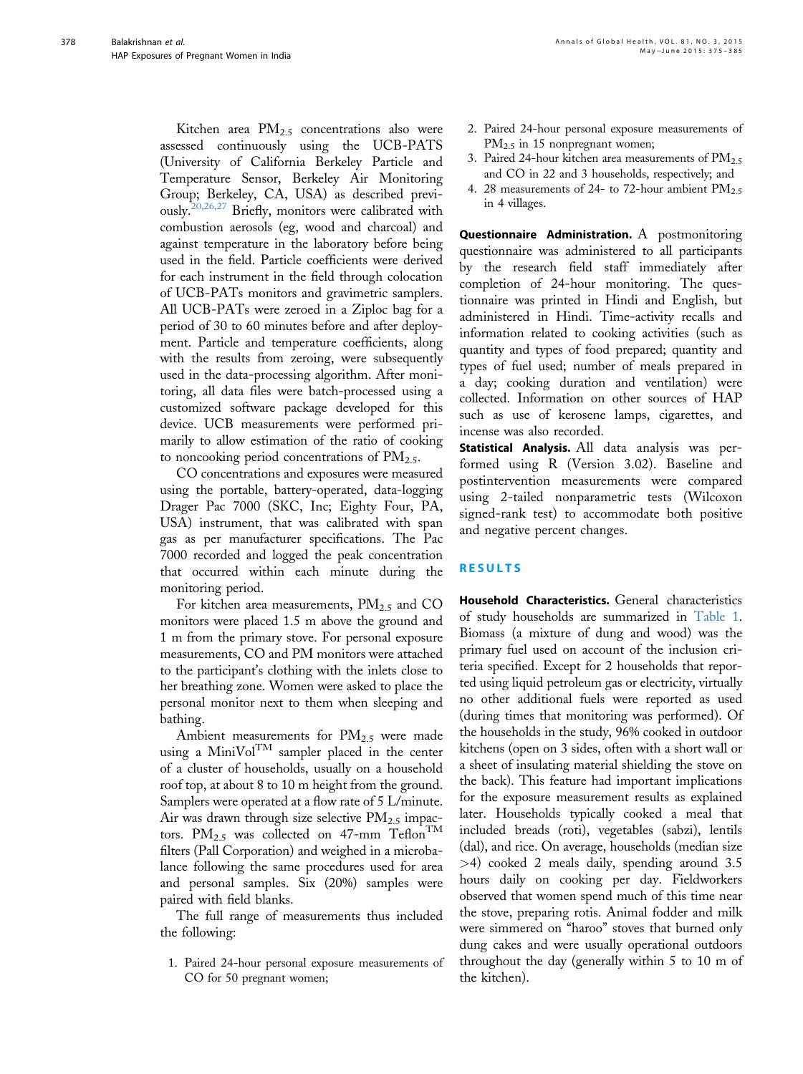Kitchen area  $PM_{2.5}$  concentrations also were assessed continuously using the UCB-PATS (University of California Berkeley Particle and Temperature Sensor, Berkeley Air Monitoring Group; Berkeley, CA, USA) as described previ-ously.<sup>[20,26,27](#page-10-0)</sup> Briefly, monitors were calibrated with combustion aerosols (eg, wood and charcoal) and against temperature in the laboratory before being used in the field. Particle coefficients were derived for each instrument in the field through colocation of UCB-PATs monitors and gravimetric samplers. All UCB-PATs were zeroed in a Ziploc bag for a period of 30 to 60 minutes before and after deployment. Particle and temperature coefficients, along with the results from zeroing, were subsequently used in the data-processing algorithm. After monitoring, all data files were batch-processed using a customized software package developed for this device. UCB measurements were performed primarily to allow estimation of the ratio of cooking to noncooking period concentrations of  $PM_{2.5}$ .

CO concentrations and exposures were measured using the portable, battery-operated, data-logging Drager Pac 7000 (SKC, Inc; Eighty Four, PA, USA) instrument, that was calibrated with span gas as per manufacturer specifications. The Pac 7000 recorded and logged the peak concentration that occurred within each minute during the monitoring period.

For kitchen area measurements,  $PM_{2.5}$  and CO monitors were placed 1.5 m above the ground and 1 m from the primary stove. For personal exposure measurements, CO and PM monitors were attached to the participant's clothing with the inlets close to her breathing zone. Women were asked to place the personal monitor next to them when sleeping and bathing.

Ambient measurements for  $PM_{2.5}$  were made using a MiniVol $T^M$  sampler placed in the center of a cluster of households, usually on a household roof top, at about 8 to 10 m height from the ground. Samplers were operated at a flow rate of 5 L/minute. Air was drawn through size selective  $PM_{2.5}$  impactors.  $PM_{2.5}$  was collected on 47-mm Teflon<sup>TM</sup> filters (Pall Corporation) and weighed in a microbalance following the same procedures used for area and personal samples. Six (20%) samples were paired with field blanks.

The full range of measurements thus included the following:

1. Paired 24-hour personal exposure measurements of CO for 50 pregnant women;

- 2. Paired 24-hour personal exposure measurements of PM<sub>2.5</sub> in 15 nonpregnant women;
- 3. Paired 24-hour kitchen area measurements of  $\text{PM}_{2.5}$ and CO in 22 and 3 households, respectively; and
- 4. 28 measurements of 24- to 72-hour ambient  $PM_{2.5}$ in 4 villages.

Questionnaire Administration. A postmonitoring questionnaire was administered to all participants by the research field staff immediately after completion of 24-hour monitoring. The questionnaire was printed in Hindi and English, but administered in Hindi. Time-activity recalls and information related to cooking activities (such as quantity and types of food prepared; quantity and types of fuel used; number of meals prepared in a day; cooking duration and ventilation) were collected. Information on other sources of HAP such as use of kerosene lamps, cigarettes, and incense was also recorded.

Statistical Analysis. All data analysis was performed using R (Version 3.02). Baseline and postintervention measurements were compared using 2-tailed nonparametric tests (Wilcoxon signed-rank test) to accommodate both positive and negative percent changes.

## RESULTS

Household Characteristics. General characteristics of study households are summarized in [Table 1](#page-4-0). Biomass (a mixture of dung and wood) was the primary fuel used on account of the inclusion criteria specified. Except for 2 households that reported using liquid petroleum gas or electricity, virtually no other additional fuels were reported as used (during times that monitoring was performed). Of the households in the study, 96% cooked in outdoor kitchens (open on 3 sides, often with a short wall or a sheet of insulating material shielding the stove on the back). This feature had important implications for the exposure measurement results as explained later. Households typically cooked a meal that included breads (roti), vegetables (sabzi), lentils (dal), and rice. On average, households (median size >4) cooked 2 meals daily, spending around 3.5 hours daily on cooking per day. Fieldworkers observed that women spend much of this time near the stove, preparing rotis. Animal fodder and milk were simmered on "haroo" stoves that burned only dung cakes and were usually operational outdoors throughout the day (generally within 5 to 10 m of the kitchen).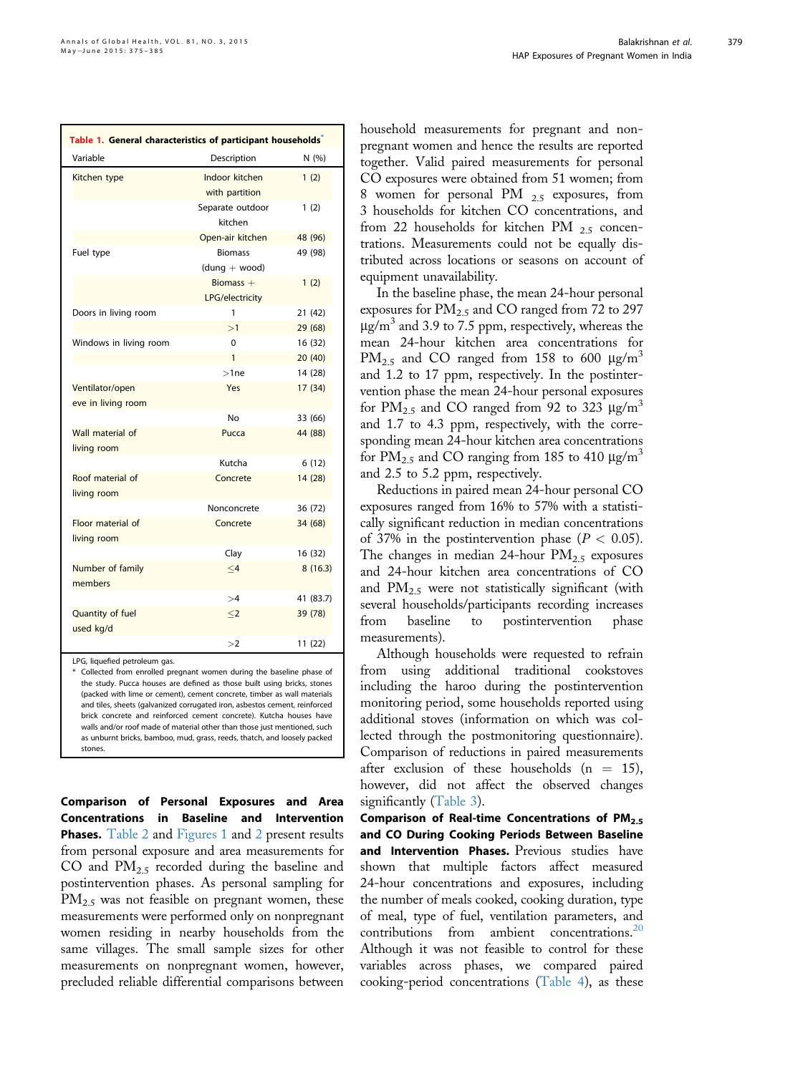<span id="page-4-0"></span>

| Table 1. General characteristics of participant households <sup>®</sup> |                                   |           |  |  |  |  |  |
|-------------------------------------------------------------------------|-----------------------------------|-----------|--|--|--|--|--|
| Variable                                                                | Description                       | N (%)     |  |  |  |  |  |
| Kitchen type                                                            | Indoor kitchen<br>with partition  | 1(2)      |  |  |  |  |  |
|                                                                         | Separate outdoor<br>kitchen       | 1(2)      |  |  |  |  |  |
|                                                                         | Open-air kitchen                  | 48 (96)   |  |  |  |  |  |
| Fuel type                                                               | <b>Biomass</b><br>$(dung + wood)$ | 49 (98)   |  |  |  |  |  |
|                                                                         | Biomass $+$<br>LPG/electricity    | 1(2)      |  |  |  |  |  |
| Doors in living room                                                    | 1                                 | 21 (42)   |  |  |  |  |  |
|                                                                         | >1                                | 29 (68)   |  |  |  |  |  |
| Windows in living room                                                  | $\Omega$                          | 16 (32)   |  |  |  |  |  |
|                                                                         | 1                                 | 20(40)    |  |  |  |  |  |
|                                                                         | $>1$ ne                           | 14 (28)   |  |  |  |  |  |
| Ventilator/open<br>eve in living room                                   | Yes                               | 17(34)    |  |  |  |  |  |
|                                                                         | No                                | 33 (66)   |  |  |  |  |  |
| Wall material of<br>living room                                         | Pucca                             | 44 (88)   |  |  |  |  |  |
|                                                                         | Kutcha                            | 6(12)     |  |  |  |  |  |
| Roof material of<br>living room                                         | Concrete                          | 14 (28)   |  |  |  |  |  |
|                                                                         | Nonconcrete                       | 36 (72)   |  |  |  |  |  |
| Floor material of<br>living room                                        | Concrete                          | 34 (68)   |  |  |  |  |  |
|                                                                         | Clay                              | 16 (32)   |  |  |  |  |  |
| Number of family<br>members                                             | $\leq$ 4                          | 8(16.3)   |  |  |  |  |  |
|                                                                         | >4                                | 41 (83.7) |  |  |  |  |  |
| Quantity of fuel<br>used kg/d                                           | $<$ 2                             | 39 (78)   |  |  |  |  |  |
|                                                                         | >2                                | 11 (22)   |  |  |  |  |  |

LPG, liquefied petroleum gas.

\* Collected from enrolled pregnant women during the baseline phase of the study. Pucca houses are defined as those built using bricks, stones (packed with lime or cement), cement concrete, timber as wall materials and tiles, sheets (galvanized corrugated iron, asbestos cement, reinforced brick concrete and reinforced cement concrete). Kutcha houses have walls and/or roof made of material other than those just mentioned, such as unburnt bricks, bamboo, mud, grass, reeds, thatch, and loosely packed stones.

Comparison of Personal Exposures and Area Concentrations in Baseline and Intervention **Phases.** [Table 2](#page-5-0) and [Figures 1](#page-6-0) and [2](#page-7-0) present results from personal exposure and area measurements for CO and  $PM_{2,5}$  recorded during the baseline and postintervention phases. As personal sampling for PM<sub>2.5</sub> was not feasible on pregnant women, these measurements were performed only on nonpregnant women residing in nearby households from the same villages. The small sample sizes for other measurements on nonpregnant women, however, precluded reliable differential comparisons between

household measurements for pregnant and nonpregnant women and hence the results are reported together. Valid paired measurements for personal CO exposures were obtained from 51 women; from 8 women for personal PM 2.5 exposures, from 3 households for kitchen CO concentrations, and from 22 households for kitchen PM  $_{2.5}$  concentrations. Measurements could not be equally distributed across locations or seasons on account of equipment unavailability.

In the baseline phase, the mean 24-hour personal exposures for  $PM_{2.5}$  and CO ranged from 72 to 297  $\mu$ g/m<sup>3</sup> and 3.9 to 7.5 ppm, respectively, whereas the mean 24-hour kitchen area concentrations for  $PM_{2.5}$  and CO ranged from 158 to 600  $\mu$ g/m<sup>3</sup> and 1.2 to 17 ppm, respectively. In the postintervention phase the mean 24-hour personal exposures for  $PM_{2.5}$  and CO ranged from 92 to 323  $\mu$ g/m<sup>3</sup> and 1.7 to 4.3 ppm, respectively, with the corresponding mean 24-hour kitchen area concentrations for  $PM_{2.5}$  and CO ranging from 185 to 410  $\mu$ g/m<sup>3</sup> and 2.5 to 5.2 ppm, respectively.

Reductions in paired mean 24-hour personal CO exposures ranged from 16% to 57% with a statistically significant reduction in median concentrations of 37% in the postintervention phase  $(P < 0.05)$ . The changes in median 24-hour  $PM_{2.5}$  exposures and 24-hour kitchen area concentrations of CO and  $PM_{2.5}$  were not statistically significant (with several households/participants recording increases from baseline to postintervention phase measurements).

Although households were requested to refrain from using additional traditional cookstoves including the haroo during the postintervention monitoring period, some households reported using additional stoves (information on which was collected through the postmonitoring questionnaire). Comparison of reductions in paired measurements after exclusion of these households  $(n = 15)$ , however, did not affect the observed changes significantly ([Table 3\)](#page-8-0).

Comparison of Real-time Concentrations of  $PM<sub>2.5</sub>$ and CO During Cooking Periods Between Baseline and Intervention Phases. Previous studies have shown that multiple factors affect measured 24-hour concentrations and exposures, including the number of meals cooked, cooking duration, type of meal, type of fuel, ventilation parameters, and contributions from ambient concentrations.<sup>20</sup> Although it was not feasible to control for these variables across phases, we compared paired cooking-period concentrations [\(Table 4\)](#page-9-0), as these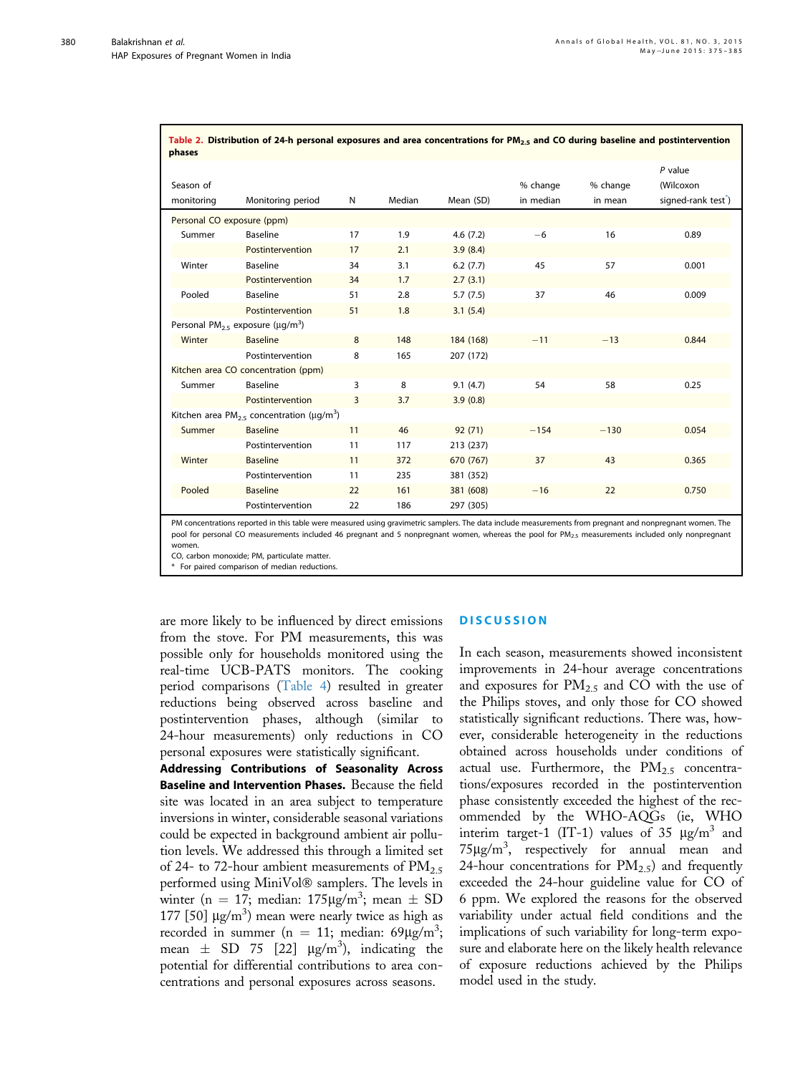<span id="page-5-0"></span>380

| phases                              |                                                                         |                |        |           |           |          |                                 |  |
|-------------------------------------|-------------------------------------------------------------------------|----------------|--------|-----------|-----------|----------|---------------------------------|--|
|                                     |                                                                         |                |        |           |           |          | $P$ value                       |  |
| Season of                           |                                                                         |                |        |           | % change  | % change | (Wilcoxon                       |  |
| monitoring                          | Monitoring period                                                       | N              | Median | Mean (SD) | in median | in mean  | signed-rank test <sup>*</sup> ) |  |
| Personal CO exposure (ppm)          |                                                                         |                |        |           |           |          |                                 |  |
| Summer                              | Baseline                                                                | 17             | 1.9    | 4.6(7.2)  | $-6$      | 16       | 0.89                            |  |
|                                     | Postintervention                                                        | 17             | 2.1    | 3.9(8.4)  |           |          |                                 |  |
| Winter                              | Baseline                                                                | 34             | 3.1    | 6.2(7.7)  | 45        | 57       | 0.001                           |  |
|                                     | Postintervention                                                        | 34             | 1.7    | 2.7(3.1)  |           |          |                                 |  |
| Pooled                              | Baseline                                                                | 51             | 2.8    | 5.7(7.5)  | 37        | 46       | 0.009                           |  |
|                                     | Postintervention                                                        | 51             | 1.8    | 3.1(5.4)  |           |          |                                 |  |
|                                     | Personal PM <sub>25</sub> exposure ( $\mu q/m^3$ )                      |                |        |           |           |          |                                 |  |
| Winter                              | <b>Baseline</b>                                                         | 8              | 148    | 184 (168) | $-11$     | $-13$    | 0.844                           |  |
|                                     | Postintervention                                                        | 8              | 165    | 207 (172) |           |          |                                 |  |
| Kitchen area CO concentration (ppm) |                                                                         |                |        |           |           |          |                                 |  |
| Summer                              | Baseline                                                                | 3              | 8      | 9.1(4.7)  | 54        | 58       | 0.25                            |  |
|                                     | Postintervention                                                        | $\overline{3}$ | 3.7    | 3.9(0.8)  |           |          |                                 |  |
|                                     | Kitchen area PM <sub>2.5</sub> concentration ( $\mu$ g/m <sup>3</sup> ) |                |        |           |           |          |                                 |  |
| Summer                              | <b>Baseline</b>                                                         | 11             | 46     | 92(71)    | $-154$    | $-130$   | 0.054                           |  |
|                                     | Postintervention                                                        | 11             | 117    | 213 (237) |           |          |                                 |  |
| Winter                              | <b>Baseline</b>                                                         | 11             | 372    | 670 (767) | 37        | 43       | 0.365                           |  |
|                                     | Postintervention                                                        | 11             | 235    | 381 (352) |           |          |                                 |  |
| Pooled                              | <b>Baseline</b>                                                         | 22             | 161    | 381 (608) | $-16$     | 22       | 0.750                           |  |
|                                     | Postintervention                                                        | 22             | 186    | 297 (305) |           |          |                                 |  |

Table 2. Distribution of 24-h personal exposures and area concentrations for PM<sub>2.5</sub> and CO during baseline and postintervention

PM concentrations reported in this table were measured using gravimetric samplers. The data include measurements from pregnant and nonpregnant women. The pool for personal CO measurements included 46 pregnant and 5 nonpregnant women, whereas the pool for PM<sub>25</sub> measurements included only nonpregnant women.

CO, carbon monoxide; PM, particulate matter.

For paired comparison of median reductions

are more likely to be influenced by direct emissions from the stove. For PM measurements, this was possible only for households monitored using the real-time UCB-PATS monitors. The cooking period comparisons ([Table 4\)](#page-9-0) resulted in greater reductions being observed across baseline and postintervention phases, although (similar to 24-hour measurements) only reductions in CO personal exposures were statistically significant.

Addressing Contributions of Seasonality Across Baseline and Intervention Phases. Because the field site was located in an area subject to temperature inversions in winter, considerable seasonal variations could be expected in background ambient air pollution levels. We addressed this through a limited set of 24- to 72-hour ambient measurements of  $PM_{2.5}$ performed using MiniVol® samplers. The levels in winter (n = 17; median:  $175 \mu g/m^3$ ; mean  $\pm$  SD 177 [50]  $\mu$ g/m<sup>3</sup>) mean were nearly twice as high as recorded in summer (n = 11; median:  $69 \mu g/m^3$ ; mean  $\pm$  SD 75 [22]  $\mu$ g/m<sup>3</sup>), indicating the potential for differential contributions to area concentrations and personal exposures across seasons.

#### **DISCUSSION**

In each season, measurements showed inconsistent improvements in 24-hour average concentrations and exposures for  $PM_{2.5}$  and CO with the use of the Philips stoves, and only those for CO showed statistically significant reductions. There was, however, considerable heterogeneity in the reductions obtained across households under conditions of actual use. Furthermore, the  $PM_{2.5}$  concentrations/exposures recorded in the postintervention phase consistently exceeded the highest of the recommended by the WHO-AQGs (ie, WHO interim target-1 (IT-1) values of 35  $\mu$ g/m<sup>3</sup> and  $75\mu g/m^3$ , respectively for annual mean and 24-hour concentrations for  $PM_{2.5}$  and frequently exceeded the 24-hour guideline value for CO of 6 ppm. We explored the reasons for the observed variability under actual field conditions and the implications of such variability for long-term exposure and elaborate here on the likely health relevance of exposure reductions achieved by the Philips model used in the study.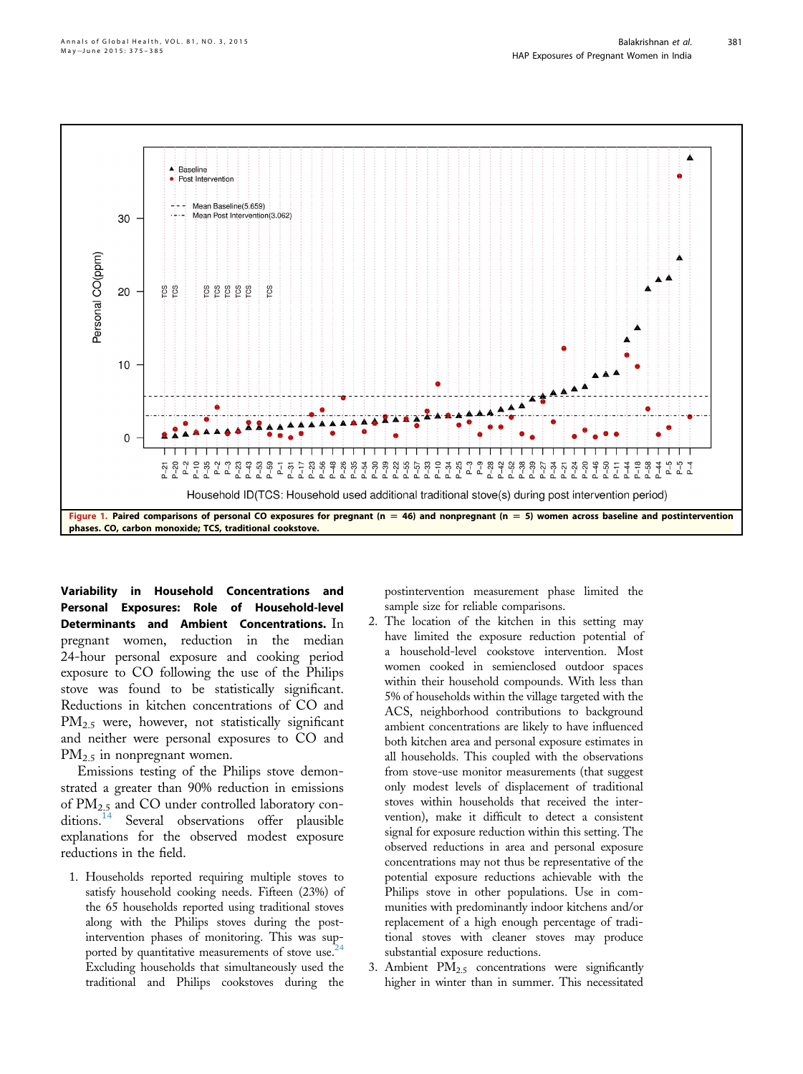<span id="page-6-0"></span>

Variability in Household Concentrations and Personal Exposures: Role of Household-level Determinants and Ambient Concentrations. In pregnant women, reduction in the median 24-hour personal exposure and cooking period exposure to CO following the use of the Philips stove was found to be statistically significant. Reductions in kitchen concentrations of CO and PM<sub>2.5</sub> were, however, not statistically significant and neither were personal exposures to CO and  $PM_{2.5}$  in nonpregnant women.

Emissions testing of the Philips stove demonstrated a greater than 90% reduction in emissions of  $PM_{2.5}$  and CO under controlled laboratory con-ditions.<sup>[14](#page-10-0)</sup> Several observations offer plausible explanations for the observed modest exposure reductions in the field.

1. Households reported requiring multiple stoves to satisfy household cooking needs. Fifteen (23%) of the 65 households reported using traditional stoves along with the Philips stoves during the postalong with the  $\frac{1}{2}$  matrice of monitoring. This was supported by quantitative measurements of stove use.<sup>2</sup> Excluding households that simultaneously used the traditional and Philips cookstoves during the postintervention measurement phase limited the sample size for reliable comparisons.

- 2. The location of the kitchen in this setting may have limited the exposure reduction potential of a household-level cookstove intervention. Most women cooked in semienclosed outdoor spaces within their household compounds. With less than 5% of households within the village targeted with the ACS, neighborhood contributions to background ambient concentrations are likely to have influenced both kitchen area and personal exposure estimates in all households. This coupled with the observations from stove-use monitor measurements (that suggest only modest levels of displacement of traditional stoves within households that received the intervention), make it difficult to detect a consistent signal for exposure reduction within this setting. The observed reductions in area and personal exposure concentrations may not thus be representative of the potential exposure reductions achievable with the Philips stove in other populations. Use in communities with predominantly indoor kitchens and/or replacement of a high enough percentage of traditional stoves with cleaner stoves may produce substantial exposure reductions.
- 3. Ambient  $PM_{2.5}$  concentrations were significantly higher in winter than in summer. This necessitated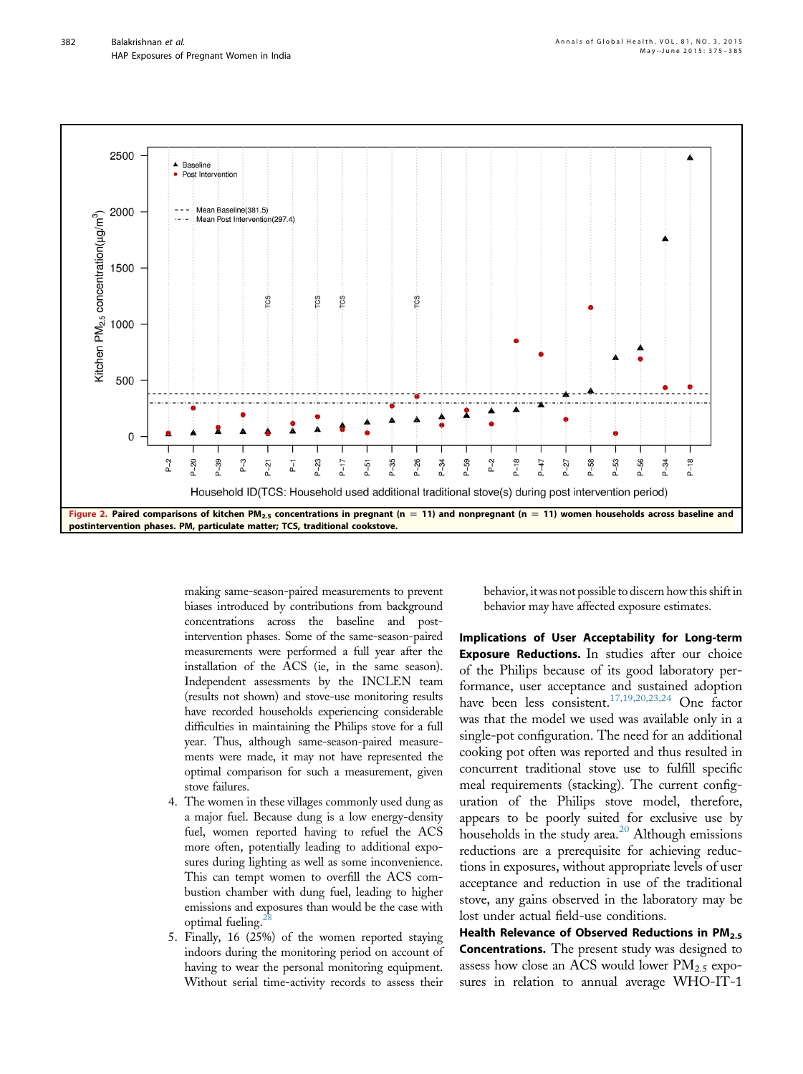<span id="page-7-0"></span>

making same-season-paired measurements to prevent biases introduced by contributions from background concentrations across the baseline and postintervention phases. Some of the same-season-paired measurements were performed a full year after the installation of the ACS (ie, in the same season). Independent assessments by the INCLEN team (results not shown) and stove-use monitoring results have recorded households experiencing considerable difficulties in maintaining the Philips stove for a full year. Thus, although same-season-paired measurements were made, it may not have represented the optimal comparison for such a measurement, given stove failures.

- 4. The women in these villages commonly used dung as a major fuel. Because dung is a low energy-density fuel, women reported having to refuel the ACS more often, potentially leading to additional exposures during lighting as well as some inconvenience. This can tempt women to overfill the ACS combustion chamber with dung fuel, leading to higher emissions and exposures than would be the case with optimal fueling.
- 5. Finally, 16 (25%) of the women reported staying indoors during the monitoring period on account of having to wear the personal monitoring equipment. Without serial time-activity records to assess their

behavior, it was not possible to discern how this shift in behavior may have affected exposure estimates.

Implications of User Acceptability for Long-term Exposure Reductions. In studies after our choice of the Philips because of its good laboratory performance, user acceptance and sustained adoption have been less consistent.<sup>[17,19,20,23,24](#page-10-0)</sup> One factor was that the model we used was available only in a single-pot configuration. The need for an additional cooking pot often was reported and thus resulted in concurrent traditional stove use to fulfill specific meal requirements (stacking). The current configuration of the Philips stove model, therefore, appears to be poorly suited for exclusive use by households in the study area.<sup>[20](#page-10-0)</sup> Although emissions reductions are a prerequisite for achieving reductions in exposures, without appropriate levels of user acceptance and reduction in use of the traditional stove, any gains observed in the laboratory may be lost under actual field-use conditions.

Health Relevance of Observed Reductions in  $PM<sub>2.5</sub>$ Concentrations. The present study was designed to assess how close an ACS would lower  $PM_{2.5}$  exposures in relation to annual average WHO-IT-1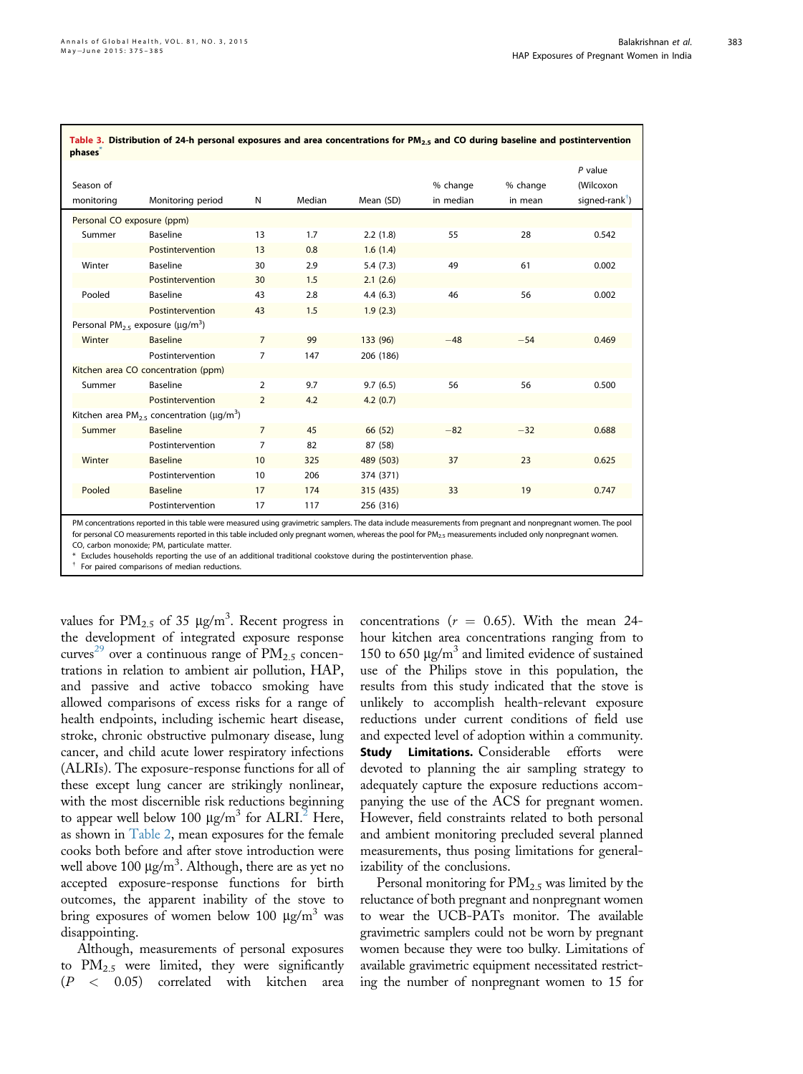<span id="page-8-0"></span> $\mathbf{I}$ 

| Season of<br>monitoring    | Monitoring period                                            | Ν               | Median | Mean (SD) | % change<br>in median | % change<br>in mean | $P$ value<br>(Wilcoxon<br>signed-rank <sup>†</sup> ) |
|----------------------------|--------------------------------------------------------------|-----------------|--------|-----------|-----------------------|---------------------|------------------------------------------------------|
| Personal CO exposure (ppm) |                                                              |                 |        |           |                       |                     |                                                      |
| Summer                     | <b>Baseline</b>                                              | 13              | 1.7    | 2.2(1.8)  | 55                    | 28                  | 0.542                                                |
|                            | Postintervention                                             | 13              | 0.8    | 1.6(1.4)  |                       |                     |                                                      |
| Winter                     | <b>Baseline</b>                                              | 30              | 2.9    | 5.4(7.3)  | 49                    | 61                  | 0.002                                                |
|                            | Postintervention                                             | 30              | 1.5    | 2.1(2.6)  |                       |                     |                                                      |
| Pooled                     | Baseline                                                     | 43              | 2.8    | 4.4(6.3)  | 46                    | 56                  | 0.002                                                |
|                            | Postintervention                                             | 43              | 1.5    | 1.9(2.3)  |                       |                     |                                                      |
|                            | Personal PM <sub>2.5</sub> exposure ( $\mu q/m^3$ )          |                 |        |           |                       |                     |                                                      |
| Winter                     | <b>Baseline</b>                                              | $\overline{7}$  | 99     | 133 (96)  | $-48$                 | $-54$               | 0.469                                                |
|                            | Postintervention                                             | $\overline{7}$  | 147    | 206 (186) |                       |                     |                                                      |
|                            | Kitchen area CO concentration (ppm)                          |                 |        |           |                       |                     |                                                      |
| Summer                     | Baseline                                                     | $\overline{2}$  | 9.7    | 9.7(6.5)  | 56                    | 56                  | 0.500                                                |
|                            | Postintervention                                             | $\overline{2}$  | 4.2    | 4.2(0.7)  |                       |                     |                                                      |
|                            | Kitchen area PM <sub>2.5</sub> concentration ( $\mu q/m^3$ ) |                 |        |           |                       |                     |                                                      |
| Summer                     | <b>Baseline</b>                                              | $\overline{7}$  | 45     | 66 (52)   | $-82$                 | $-32$               | 0.688                                                |
|                            | Postintervention                                             | 7               | 82     | 87 (58)   |                       |                     |                                                      |
| Winter                     | <b>Baseline</b>                                              | 10 <sup>°</sup> | 325    | 489 (503) | 37                    | 23                  | 0.625                                                |
|                            | Postintervention                                             | 10              | 206    | 374 (371) |                       |                     |                                                      |
| Pooled                     | <b>Baseline</b>                                              | 17              | 174    | 315 (435) | 33                    | 19                  | 0.747                                                |
|                            | Postintervention                                             | 17              | 117    | 256 (316) |                       |                     |                                                      |

Table 3. Distribution of 24-h personal exposures and area concentrations for PM<sub>2.5</sub> and CO during baseline and postintervention

PM concentrations reported in this table were measured using gravimetric samplers. The data include measurements from pregnant and nonpregnant women. The pool for personal CO measurements reported in this table included only pregnant women, whereas the pool for PM<sub>2</sub>, measurements included only nonpregnant women. CO, carbon monoxide; PM, particulate matter.

Excludes households reporting the use of an additional traditional cookstove during the postintervention phase

For paired comparisons of median reductions.

values for  $PM_{2.5}$  of 35  $\mu$ g/m<sup>3</sup>. Recent progress in the development of integrated exposure response curves<sup>[29](#page-10-0)</sup> over a continuous range of  $PM_{2.5}$  concentrations in relation to ambient air pollution, HAP, and passive and active tobacco smoking have allowed comparisons of excess risks for a range of health endpoints, including ischemic heart disease, stroke, chronic obstructive pulmonary disease, lung cancer, and child acute lower respiratory infections (ALRIs). The exposure-response functions for all of these except lung cancer are strikingly nonlinear, with the most discernible risk reductions beginning to appear well below 100  $\mu$ g/m<sup>3</sup> for ALRI.<sup>[2](#page-10-0)</sup> Here, as shown in [Table 2,](#page-5-0) mean exposures for the female cooks both before and after stove introduction were well above 100  $\mu$ g/m $^3$ . Although, there are as yet no accepted exposure-response functions for birth outcomes, the apparent inability of the stove to bring exposures of women below 100  $\mu$ g/m<sup>3</sup> was disappointing.

Although, measurements of personal exposures to  $PM_{2.5}$  were limited, they were significantly (P < 0.05) correlated with kitchen area concentrations ( $r = 0.65$ ). With the mean 24hour kitchen area concentrations ranging from to 150 to 650  $\mu$ g/m<sup>3</sup> and limited evidence of sustained use of the Philips stove in this population, the results from this study indicated that the stove is unlikely to accomplish health-relevant exposure reductions under current conditions of field use and expected level of adoption within a community. **Study Limitations.** Considerable efforts were devoted to planning the air sampling strategy to adequately capture the exposure reductions accompanying the use of the ACS for pregnant women. However, field constraints related to both personal and ambient monitoring precluded several planned measurements, thus posing limitations for generalizability of the conclusions.

Personal monitoring for  $PM_{2,5}$  was limited by the reluctance of both pregnant and nonpregnant women to wear the UCB-PATs monitor. The available gravimetric samplers could not be worn by pregnant women because they were too bulky. Limitations of available gravimetric equipment necessitated restricting the number of nonpregnant women to 15 for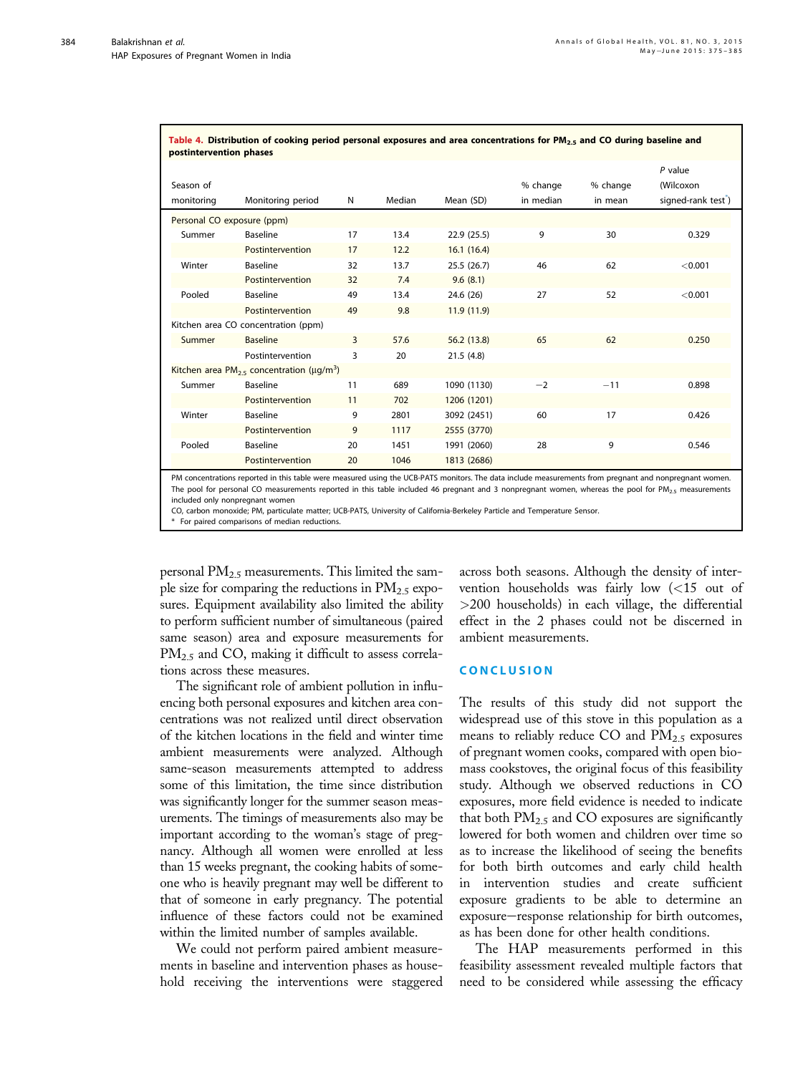<span id="page-9-0"></span>384

| <u>taste in piperbacion of cooking performance programs and area concentrations for Finity and eo adming pa</u><br>postintervention phases |                   |                |        |             |                       |                     |                                             |  |  |
|--------------------------------------------------------------------------------------------------------------------------------------------|-------------------|----------------|--------|-------------|-----------------------|---------------------|---------------------------------------------|--|--|
| Season of<br>monitoring                                                                                                                    | Monitoring period | N              | Median | Mean (SD)   | % change<br>in median | % change<br>in mean | $P$ value<br>(Wilcoxon<br>signed-rank test) |  |  |
| Personal CO exposure (ppm)                                                                                                                 |                   |                |        |             |                       |                     |                                             |  |  |
| Summer                                                                                                                                     | <b>Baseline</b>   | 17             | 13.4   | 22.9(25.5)  | 9                     | 30                  | 0.329                                       |  |  |
|                                                                                                                                            | Postintervention  | 17             | 12.2   | 16.1(16.4)  |                       |                     |                                             |  |  |
| Winter                                                                                                                                     | Baseline          | 32             | 13.7   | 25.5 (26.7) | 46                    | 62                  | < 0.001                                     |  |  |
|                                                                                                                                            | Postintervention  | 32             | 7.4    | 9.6(8.1)    |                       |                     |                                             |  |  |
| Pooled                                                                                                                                     | <b>Baseline</b>   | 49             | 13.4   | 24.6 (26)   | 27                    | 52                  | < 0.001                                     |  |  |
|                                                                                                                                            | Postintervention  | 49             | 9.8    | 11.9(11.9)  |                       |                     |                                             |  |  |
| Kitchen area CO concentration (ppm)                                                                                                        |                   |                |        |             |                       |                     |                                             |  |  |
| Summer                                                                                                                                     | <b>Baseline</b>   | $\overline{3}$ | 57.6   | 56.2 (13.8) | 65                    | 62                  | 0.250                                       |  |  |
|                                                                                                                                            | Postintervention  | 3              | 20     | 21.5(4.8)   |                       |                     |                                             |  |  |
| Kitchen area PM <sub>2.5</sub> concentration ( $\mu q/m^3$ )                                                                               |                   |                |        |             |                       |                     |                                             |  |  |
| Summer                                                                                                                                     | Baseline          | 11             | 689    | 1090 (1130) | $-2$                  | $-11$               | 0.898                                       |  |  |
|                                                                                                                                            | Postintervention  | 11             | 702    | 1206 (1201) |                       |                     |                                             |  |  |
| Winter                                                                                                                                     | Baseline          | 9              | 2801   | 3092 (2451) | 60                    | 17                  | 0.426                                       |  |  |
|                                                                                                                                            | Postintervention  | 9              | 1117   | 2555 (3770) |                       |                     |                                             |  |  |
| Pooled                                                                                                                                     | <b>Baseline</b>   | 20             | 1451   | 1991 (2060) | 28                    | 9                   | 0.546                                       |  |  |
|                                                                                                                                            | Postintervention  | 20             | 1046   | 1813 (2686) |                       |                     |                                             |  |  |

Table 4. Distribution of cooking period personal exposures and area concentrations for PM<sub>2.5</sub> and CO during baseline and

PM concentrations reported in this table were measured using the UCB-PATS monitors. The data include measurements from pregnant and nonpregnant women. The pool for personal CO measurements reported in this table included 46 pregnant and 3 nonpregnant women, whereas the pool for PM<sub>2.5</sub> measurements included only nonpregnant women

CO, carbon monoxide; PM, particulate matter; UCB-PATS, University of California-Berkeley Particle and Temperature Sensor.

\* For paired comparisons of median reductions.

personal  $PM_{2.5}$  measurements. This limited the sample size for comparing the reductions in  $PM_{2.5}$  exposures. Equipment availability also limited the ability to perform sufficient number of simultaneous (paired same season) area and exposure measurements for  $PM_{2.5}$  and CO, making it difficult to assess correlations across these measures.

The significant role of ambient pollution in influencing both personal exposures and kitchen area concentrations was not realized until direct observation of the kitchen locations in the field and winter time ambient measurements were analyzed. Although same-season measurements attempted to address some of this limitation, the time since distribution was significantly longer for the summer season measurements. The timings of measurements also may be important according to the woman's stage of pregnancy. Although all women were enrolled at less than 15 weeks pregnant, the cooking habits of someone who is heavily pregnant may well be different to that of someone in early pregnancy. The potential influence of these factors could not be examined within the limited number of samples available.

We could not perform paired ambient measurements in baseline and intervention phases as household receiving the interventions were staggered

across both seasons. Although the density of intervention households was fairly low (<15 out of >200 households) in each village, the differential effect in the 2 phases could not be discerned in ambient measurements.

## **CONCLUSION**

The results of this study did not support the widespread use of this stove in this population as a means to reliably reduce  $CO$  and  $PM_{2.5}$  exposures of pregnant women cooks, compared with open biomass cookstoves, the original focus of this feasibility study. Although we observed reductions in CO exposures, more field evidence is needed to indicate that both  $PM_{2.5}$  and CO exposures are significantly lowered for both women and children over time so as to increase the likelihood of seeing the benefits for both birth outcomes and early child health in intervention studies and create sufficient exposure gradients to be able to determine an exposure-response relationship for birth outcomes, as has been done for other health conditions.

The HAP measurements performed in this feasibility assessment revealed multiple factors that need to be considered while assessing the efficacy